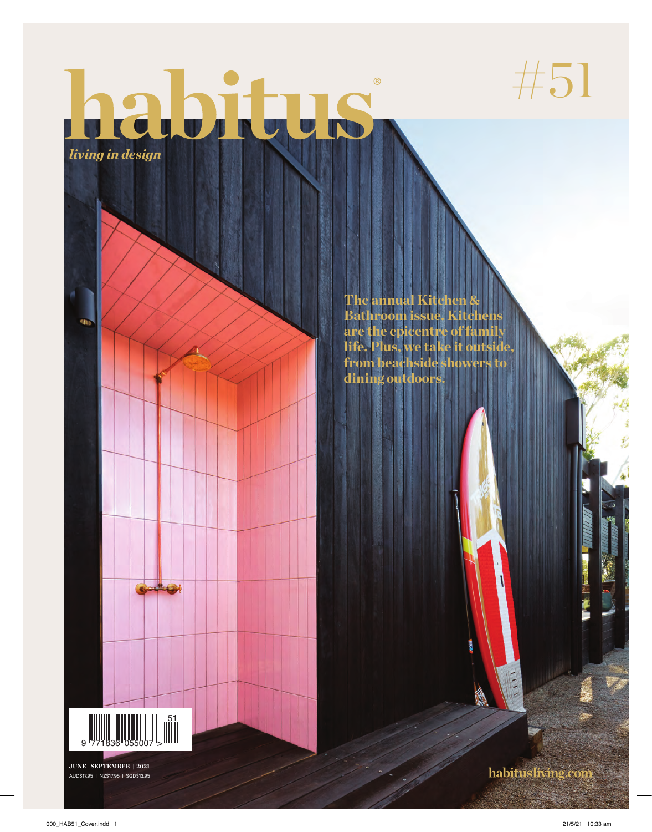## #51

## $\circledR$ ICUL

living in design

The annual Kitchen & Bathroom issue. Kitchens are the epicentre of family life. Plus, we take it outside, from beach dining outdoo



<u>ДЪ,</u>

JUNE - SEPTEMBER | 2021 AUD\$17.95 | NZ\$17.95 | SGD\$13.95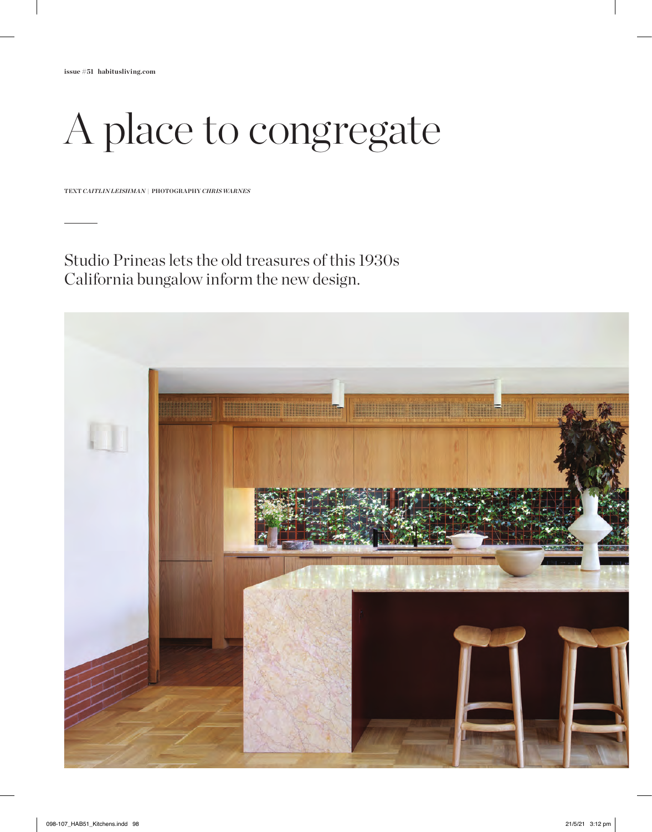## A place to congregate

**TEXT** *CAITLIN LEISHMAN |* **PHOTOGRAPHY** *CHRIS WARNES*

Studio Prineas lets the old treasures of this 1930s California bungalow inform the new design.